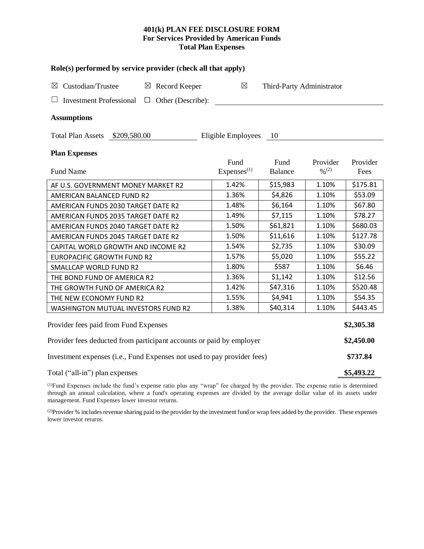# **401(k) PLAN FEE DISCLOSURE FORM For Services Provided by American Funds Total Plan Expenses**

| Role(s) performed by service provider (check all that apply)            |                                |                           |                                          |                  |  |  |  |  |  |
|-------------------------------------------------------------------------|--------------------------------|---------------------------|------------------------------------------|------------------|--|--|--|--|--|
| $\boxtimes$ Custodian/Trustee<br>$\boxtimes$ Record Keeper              | $\boxtimes$                    | Third-Party Administrator |                                          |                  |  |  |  |  |  |
| $\Box$ Other (Describe):<br><b>Investment Professional</b>              |                                |                           |                                          |                  |  |  |  |  |  |
| <b>Assumptions</b>                                                      |                                |                           |                                          |                  |  |  |  |  |  |
| Total Plan Assets \$209,580.00                                          | Eligible Employees             | - 10                      |                                          |                  |  |  |  |  |  |
| <b>Plan Expenses</b>                                                    |                                |                           |                                          |                  |  |  |  |  |  |
| Fund Name                                                               | Fund<br>Express <sup>(1)</sup> | Fund<br><b>Balance</b>    | Provider<br>$\frac{0}{2}$ <sup>(2)</sup> | Provider<br>Fees |  |  |  |  |  |
|                                                                         |                                |                           |                                          |                  |  |  |  |  |  |
| AF U.S. GOVERNMENT MONEY MARKET R2                                      | 1.42%                          | \$15,983                  | 1.10%                                    | \$175.81         |  |  |  |  |  |
| AMERICAN BALANCED FUND R2                                               | 1.36%                          | \$4,826                   | 1.10%                                    | \$53.09          |  |  |  |  |  |
| AMERICAN FUNDS 2030 TARGET DATE R2                                      | 1.48%                          | \$6,164                   | 1.10%                                    | \$67.80          |  |  |  |  |  |
| AMERICAN FUNDS 2035 TARGET DATE R2                                      | 1.49%                          | \$7,115                   | 1.10%                                    | \$78.27          |  |  |  |  |  |
| AMERICAN FUNDS 2040 TARGET DATE R2                                      | 1.50%                          | \$61,821                  | 1.10%                                    | \$680.03         |  |  |  |  |  |
| AMERICAN FUNDS 2045 TARGET DATE R2                                      | 1.50%                          | \$11,616                  | 1.10%                                    | \$127.78         |  |  |  |  |  |
| CAPITAL WORLD GROWTH AND INCOME R2                                      | 1.54%                          | \$2,735                   | 1.10%                                    | \$30.09          |  |  |  |  |  |
| <b>EUROPACIFIC GROWTH FUND R2</b>                                       | 1.57%                          | \$5,020                   | 1.10%                                    | \$55.22          |  |  |  |  |  |
| SMALLCAP WORLD FUND R2                                                  | 1.80%                          | \$587                     | 1.10%                                    | \$6.46           |  |  |  |  |  |
| THE BOND FUND OF AMERICA R2                                             | 1.36%                          | \$1,142                   | 1.10%                                    | \$12.56          |  |  |  |  |  |
| THE GROWTH FUND OF AMERICA R2                                           | 1.42%                          | \$47,316                  | 1.10%                                    | \$520.48         |  |  |  |  |  |
| THE NEW ECONOMY FUND R2                                                 | 1.55%                          | \$4,941                   | 1.10%                                    | \$54.35          |  |  |  |  |  |
| WASHINGTON MUTUAL INVESTORS FUND R2                                     | 1.38%                          | \$40,314                  | 1.10%                                    | \$443.45         |  |  |  |  |  |
| Provider fees paid from Fund Expenses                                   |                                |                           |                                          |                  |  |  |  |  |  |
| Provider fees deducted from participant accounts or paid by employer    |                                |                           |                                          |                  |  |  |  |  |  |
| Investment expenses (i.e., Fund Expenses not used to pay provider fees) |                                |                           |                                          |                  |  |  |  |  |  |
| Total ("all-in") plan expenses                                          |                                |                           |                                          |                  |  |  |  |  |  |

(1)Fund Expenses include the fund's expense ratio plus any "wrap" fee charged by the provider. The expense ratio is determined through an annual calculation, where a fund's operating expenses are divided by the average dollar value of its assets under management. Fund Expenses lower investor returns.

<sup>(2)</sup>Provider % includes revenue sharing paid to the provider by the investment fund or wrap fees added by the provider. These expenses lower investor returns.